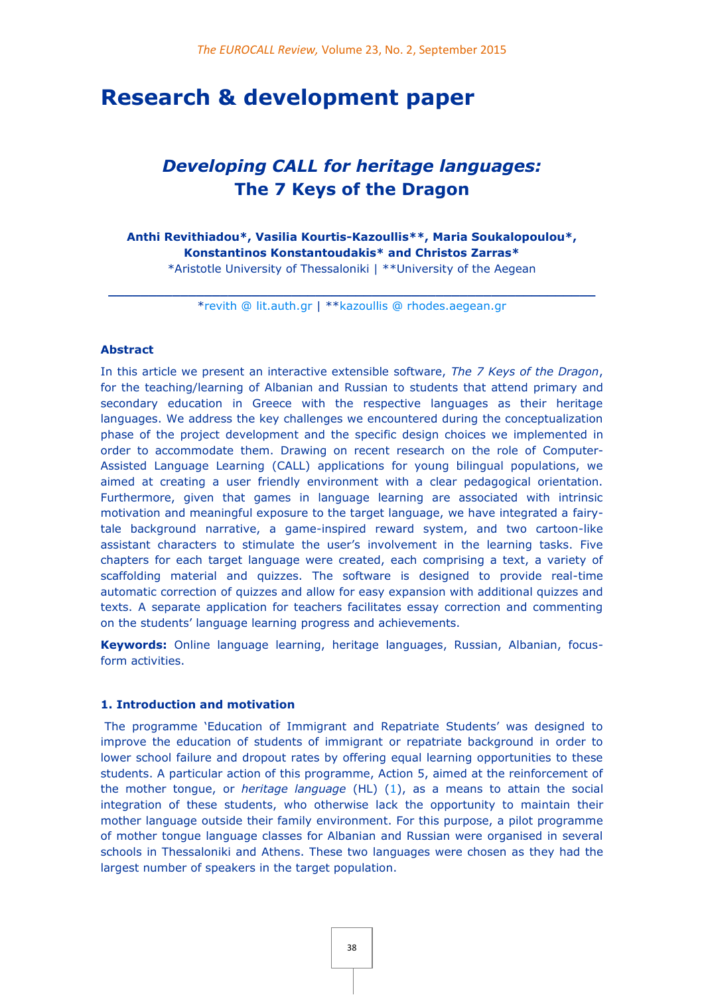# **Research & development paper**

# *Developing CALL for heritage languages:* **The 7 Keys of the Dragon**

**Anthi Revithiadou\*, Vasilia Kourtis-Kazoullis\*\*, Maria Soukalopoulou\*, Konstantinos Konstantoudakis\* and Christos Zarras\***

\*Aristotle University of Thessaloniki | \*\*University of the Aegean

**\_\_\_\_\_\_\_\_\_\_\_\_\_\_\_\_\_\_\_\_\_\_\_\_\_\_\_\_\_\_\_\_\_\_\_\_\_\_\_\_\_\_\_\_\_\_\_\_\_\_\_\_\_\_\_\_\_\_\_\_\_** [\\*revith @ lit.auth.gr](mailto:revith@lit.auth.gr) | \*[\\*kazoullis @ rhodes.aegean.gr](mailto:kazoullis@rhodes.aegean.gr)

#### **Abstract**

In this article we present an interactive extensible software, *The 7 Keys of the Dragon*, for the teaching/learning of Albanian and Russian to students that attend primary and secondary education in Greece with the respective languages as their heritage languages. We address the key challenges we encountered during the conceptualization phase of the project development and the specific design choices we implemented in order to accommodate them. Drawing on recent research on the role of Computer-Assisted Language Learning (CALL) applications for young bilingual populations, we aimed at creating a user friendly environment with a clear pedagogical orientation. Furthermore, given that games in language learning are associated with intrinsic motivation and meaningful exposure to the target language, we have integrated a fairytale background narrative, a game-inspired reward system, and two cartoon-like assistant characters to stimulate the user's involvement in the learning tasks. Five chapters for each target language were created, each comprising a text, a variety of scaffolding material and quizzes. The software is designed to provide real-time automatic correction of quizzes and allow for easy expansion with additional quizzes and texts. A separate application for teachers facilitates essay correction and commenting on the students' language learning progress and achievements.

**Keywords:** Online language learning, heritage languages, Russian, Albanian, focusform activities.

#### **1. Introduction and motivation**

The programme 'Education of Immigrant and Repatriate Students' was designed to improve the education of students of immigrant or repatriate background in order to lower school failure and dropout rates by offering equal learning opportunities to these students. A particular action of this programme, Action 5, aimed at the reinforcement of the mother tongue, or *heritage language* (HL[\)](http://eurocall.webs.upv.es/index.php?m=menu_00&n=news_23_2#_edn1) [\(1\)](http://eurocall.webs.upv.es/index.php?m=menu_00&n=news_23_2#_edn1), as a means to attain the social integration of these students, who otherwise lack the opportunity to maintain their mother language outside their family environment. For this purpose, a pilot programme of mother tongue language classes for Albanian and Russian were organised in several schools in Thessaloniki and Athens. These two languages were chosen as they had the largest number of speakers in the target population.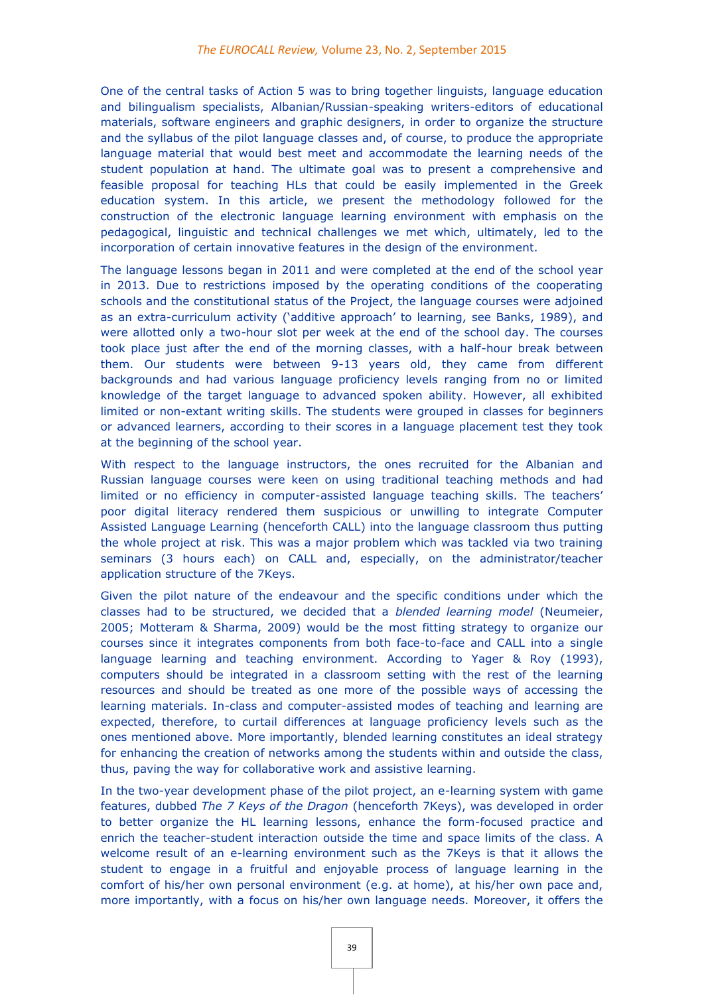One of the central tasks of Action 5 was to bring together linguists, language education and bilingualism specialists, Albanian/Russian-speaking writers-editors of educational materials, software engineers and graphic designers, in order to organize the structure and the syllabus of the pilot language classes and, of course, to produce the appropriate language material that would best meet and accommodate the learning needs of the student population at hand. The ultimate goal was to present a comprehensive and feasible proposal for teaching HLs that could be easily implemented in the Greek education system. In this article, we present the methodology followed for the construction of the electronic language learning environment with emphasis on the pedagogical, linguistic and technical challenges we met which, ultimately, led to the incorporation of certain innovative features in the design of the environment.

The language lessons began in 2011 and were completed at the end of the school year in 2013. Due to restrictions imposed by the operating conditions of the cooperating schools and the constitutional status of the Project, the language courses were adjoined as an extra-curriculum activity ('additive approach' to learning, see Banks, 1989), and were allotted only a two-hour slot per week at the end of the school day. The courses took place just after the end of the morning classes, with a half-hour break between them. Our students were between 9-13 years old, they came from different backgrounds and had various language proficiency levels ranging from no or limited knowledge of the target language to advanced spoken ability. However, all exhibited limited or non-extant writing skills. The students were grouped in classes for beginners or advanced learners, according to their scores in a language placement test they took at the beginning of the school year.

With respect to the language instructors, the ones recruited for the Albanian and Russian language courses were keen on using traditional teaching methods and had limited or no efficiency in computer-assisted language teaching skills. The teachers' poor digital literacy rendered them suspicious or unwilling to integrate Computer Assisted Language Learning (henceforth CALL) into the language classroom thus putting the whole project at risk. This was a major problem which was tackled via two training seminars (3 hours each) on CALL and, especially, on the administrator/teacher application structure of the 7Keys.

Given the pilot nature of the endeavour and the specific conditions under which the classes had to be structured, we decided that a *blended learning model* (Neumeier, 2005; Motteram & Sharma, 2009) would be the most fitting strategy to organize our courses since it integrates components from both face-to-face and CALL into a single language learning and teaching environment. According to Yager & Roy (1993), computers should be integrated in a classroom setting with the rest of the learning resources and should be treated as one more of the possible ways of accessing the learning materials. In-class and computer-assisted modes of teaching and learning are expected, therefore, to curtail differences at language proficiency levels such as the ones mentioned above. More importantly, blended learning constitutes an ideal strategy for enhancing the creation of networks among the students within and outside the class, thus, paving the way for collaborative work and assistive learning.

In the two-year development phase of the pilot project, an e-learning system with game features, dubbed *The 7 Keys of the Dragon* (henceforth 7Keys), was developed in order to better organize the HL learning lessons, enhance the form-focused practice and enrich the teacher-student interaction outside the time and space limits of the class. A welcome result of an e-learning environment such as the 7Keys is that it allows the student to engage in a fruitful and enjoyable process of language learning in the comfort of his/her own personal environment (e.g. at home), at his/her own pace and, more importantly, with a focus on his/her own language needs. Moreover, it offers the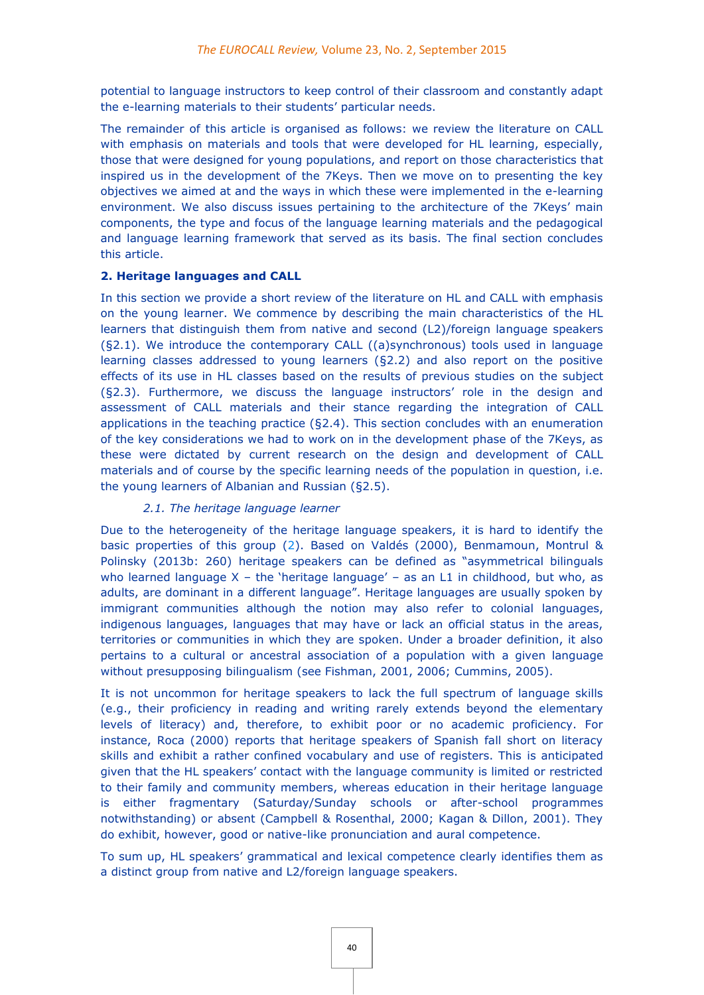potential to language instructors to keep control of their classroom and constantly adapt the e-learning materials to their students' particular needs.

The remainder of this article is organised as follows: we review the literature on CALL with emphasis on materials and tools that were developed for HL learning, especially, those that were designed for young populations, and report on those characteristics that inspired us in the development of the 7Keys. Then we move on to presenting the key objectives we aimed at and the ways in which these were implemented in the e-learning environment. We also discuss issues pertaining to the architecture of the 7Keys' main components, the type and focus of the language learning materials and the pedagogical and language learning framework that served as its basis. The final section concludes this article.

#### **2. Heritage languages and CALL**

In this section we provide a short review of the literature on HL and CALL with emphasis on the young learner. We commence by describing the main characteristics of the HL learners that distinguish them from native and second (L2)/foreign language speakers (§2.1). We introduce the contemporary CALL ((a)synchronous) tools used in language learning classes addressed to young learners (§2.2) and also report on the positive effects of its use in HL classes based on the results of previous studies on the subject (§2.3). Furthermore, we discuss the language instructors' role in the design and assessment of CALL materials and their stance regarding the integration of CALL applications in the teaching practice (§2.4). This section concludes with an enumeration of the key considerations we had to work on in the development phase of the 7Keys, as these were dictated by current research on the design and development of CALL materials and of course by the specific learning needs of the population in question, i.e. the young learners of Albanian and Russian (§2.5).

# *2.1. The heritage language learner*

Due to the heterogeneity of the heritage language speakers, it is hard to identify the basic properties of this grou[p](http://eurocall.webs.upv.es/index.php?m=menu_00&n=news_23_2#_edn2) [\(2\)](http://eurocall.webs.upv.es/index.php?m=menu_00&n=news_23_2#_edn2). Based on Valdés (2000), Benmamoun, Montrul & Polinsky (2013b: 260) heritage speakers can be defined as "asymmetrical bilinguals who learned language  $X$  – the 'heritage language' – as an L1 in childhood, but who, as adults, are dominant in a different language". Heritage languages are usually spoken by immigrant communities although the notion may also refer to colonial languages, indigenous languages, languages that may have or lack an official status in the areas, territories or communities in which they are spoken. Under a broader definition, it also pertains to a cultural or ancestral association of a population with a given language without presupposing bilingualism (see Fishman, 2001, 2006; Cummins, 2005).

It is not uncommon for heritage speakers to lack the full spectrum of language skills (e.g., their proficiency in reading and writing rarely extends beyond the elementary levels of literacy) and, therefore, to exhibit poor or no academic proficiency. For instance, Roca (2000) reports that heritage speakers of Spanish fall short on literacy skills and exhibit a rather confined vocabulary and use of registers. This is anticipated given that the HL speakers' contact with the language community is limited or restricted to their family and community members, whereas education in their heritage language is either fragmentary (Saturday/Sunday schools or after-school programmes notwithstanding) or absent (Campbell & Rosenthal, 2000; Kagan & Dillon, 2001). They do exhibit, however, good or native-like pronunciation and aural competence.

To sum up, HL speakers' grammatical and lexical competence clearly identifies them as a distinct group from native and L2/foreign language speakers.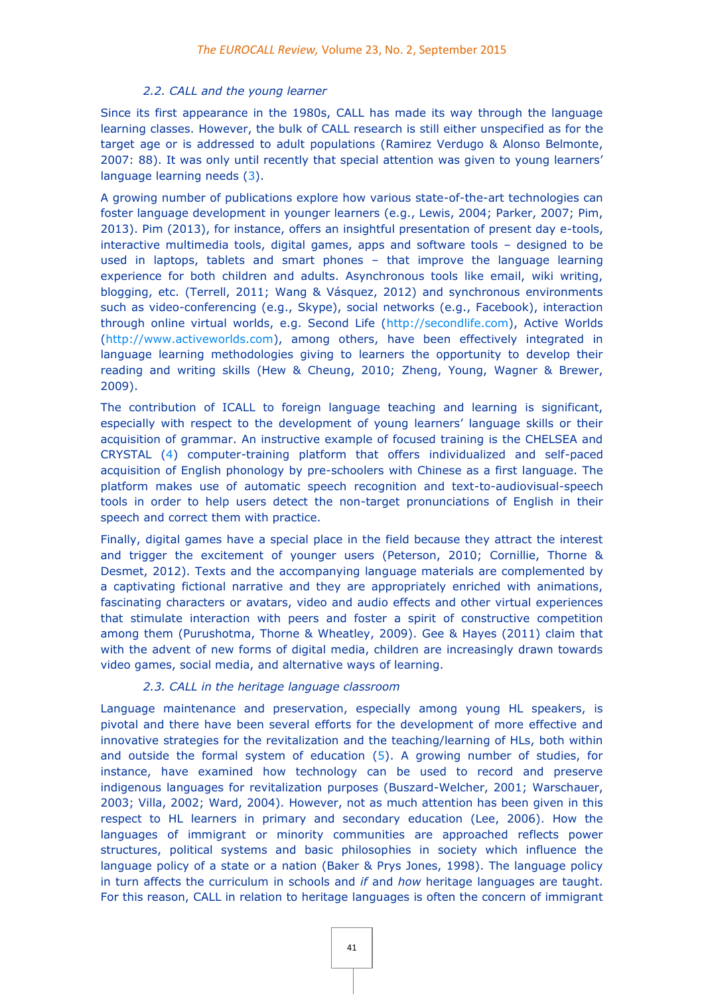#### *2.2. CALL and the young learner*

Since its first appearance in the 1980s, CALL has made its way through the language learning classes. However, the bulk of CALL research is still either unspecified as for the target age or is addressed to adult populations (Ramirez Verdugo & Alonso Belmonte, 2007: 88). It was only until recently that special attention was given to young learners' language learning needs [\(3\)](http://eurocall.webs.upv.es/index.php?m=menu_00&n=news_23_2#_edn3).

A growing number of publications explore how various state-of-the-art technologies can foster language development in younger learners (e.g., Lewis, 2004; Parker, 2007; Pim, 2013). Pim (2013), for instance, offers an insightful presentation of present day e-tools, interactive multimedia tools, digital games, apps and software tools – designed to be used in laptops, tablets and smart phones – that improve the language learning experience for both children and adults. Asynchronous tools like email, wiki writing, blogging, etc. (Terrell, 2011; Wang & Vásquez, 2012) and synchronous environments such as video-conferencing (e.g., Skype), social networks (e.g., Facebook), interaction through online virtual worlds, e.g. Second Life [\(http://secondlife.com\)](http://secondlife.com/), Active Worlds [\(http://www.activeworlds.com\)](http://www.activeworlds.com/), among others, have been effectively integrated in language learning methodologies giving to learners the opportunity to develop their reading and writing skills (Hew & Cheung, 2010; Zheng, Young, Wagner & Brewer, 2009).

The contribution of ICALL to foreign language teaching and learning is significant, especially with respect to the development of young learners' language skills or their acquisition of grammar. An instructive example of focused training is the CHELSEA and CRYSTA[L](http://eurocall.webs.upv.es/index.php?m=menu_00&n=news_23_2#_edn4) [\(4\)](http://eurocall.webs.upv.es/index.php?m=menu_00&n=news_23_2#_edn4) computer-training platform that offers individualized and self-paced acquisition of English phonology by pre-schoolers with Chinese as a first language. The platform makes use of automatic speech recognition and text-to-audiovisual-speech tools in order to help users detect the non-target pronunciations of English in their speech and correct them with practice.

Finally, digital games have a special place in the field because they attract the interest and trigger the excitement of younger users (Peterson, 2010; Cornillie, Thorne & Desmet, 2012). Texts and the accompanying language materials are complemented by a captivating fictional narrative and they are appropriately enriched with animations, fascinating characters or avatars, video and audio effects and other virtual experiences that stimulate interaction with peers and foster a spirit of constructive competition among them (Purushotma, Thorne & Wheatley, 2009). Gee & Hayes (2011) claim that with the advent of new forms of digital media, children are increasingly drawn towards video games, social media, and alternative ways of learning.

#### *2.3. CALL in the heritage language classroom*

Language maintenance and preservation, especially among young HL speakers, is pivotal and there have been several efforts for the development of more effective and innovative strategies for the revitalization and the teaching/learning of HLs, both within and outside the formal system of education [\(5\)](http://eurocall.webs.upv.es/index.php?m=menu_00&n=news_23_2#_edn5). A growing number of studies, for instance, have examined how technology can be used to record and preserve indigenous languages for revitalization purposes (Buszard-Welcher, 2001; Warschauer, 2003; Villa, 2002; Ward, 2004). However, not as much attention has been given in this respect to HL learners in primary and secondary education (Lee, 2006). How the languages of immigrant or minority communities are approached reflects power structures, political systems and basic philosophies in society which influence the language policy of a state or a nation (Baker & Prys Jones, 1998). The language policy in turn affects the curriculum in schools and *if* and *how* heritage languages are taught. For this reason, CALL in relation to heritage languages is often the concern of immigrant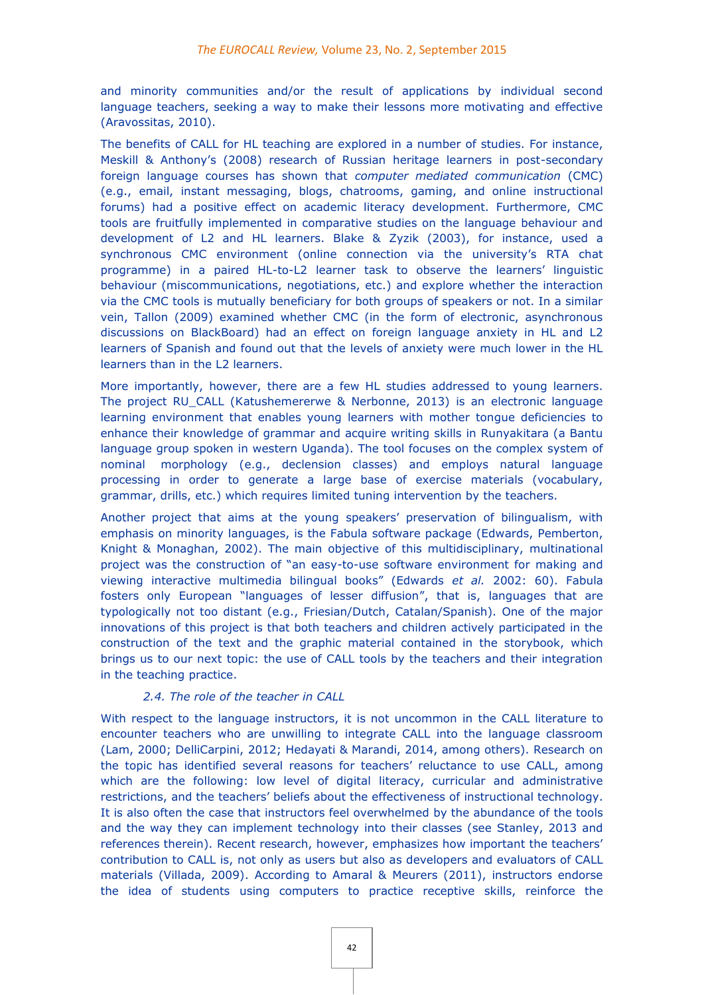and minority communities and/or the result of applications by individual second language teachers, seeking a way to make their lessons more motivating and effective (Aravossitas, 2010).

The benefits of CALL for HL teaching are explored in a number of studies. For instance, Meskill & Anthony's (2008) research of Russian heritage learners in post-secondary foreign language courses has shown that *computer mediated communication* (CMC) (e.g., email, instant messaging, blogs, chatrooms, gaming, and online instructional forums) had a positive effect on academic literacy development. Furthermore, CMC tools are fruitfully implemented in comparative studies on the language behaviour and development of L2 and HL learners. Blake & Zyzik (2003), for instance, used a synchronous CMC environment (online connection via the university's RTA chat programme) in a paired HL-to-L2 learner task to observe the learners' linguistic behaviour (miscommunications, negotiations, etc.) and explore whether the interaction via the CMC tools is mutually beneficiary for both groups of speakers or not. In a similar vein, Tallon (2009) examined whether CMC (in the form of electronic, asynchronous discussions on BlackBoard) had an effect on foreign language anxiety in HL and L2 learners of Spanish and found out that the levels of anxiety were much lower in the HL learners than in the L2 learners.

More importantly, however, there are a few HL studies addressed to young learners. The project RU\_CALL (Katushemererwe & Nerbonne, 2013) is an electronic language learning environment that enables young learners with mother tongue deficiencies to enhance their knowledge of grammar and acquire writing skills in Runyakitara (a Bantu language group spoken in western Uganda). The tool focuses on the complex system of nominal morphology (e.g., declension classes) and employs natural language processing in order to generate a large base of exercise materials (vocabulary, grammar, drills, etc.) which requires limited tuning intervention by the teachers.

Another project that aims at the young speakers' preservation of bilingualism, with emphasis on minority languages, is the Fabula software package (Edwards, Pemberton, Knight & Monaghan, 2002). The main objective of this multidisciplinary, multinational project was the construction of "an easy-to-use software environment for making and viewing interactive multimedia bilingual books" (Edwards *et al.* 2002: 60). Fabula fosters only European "languages of lesser diffusion", that is, languages that are typologically not too distant (e.g., Friesian/Dutch, Catalan/Spanish). One of the major innovations of this project is that both teachers and children actively participated in the construction of the text and the graphic material contained in the storybook, which brings us to our next topic: the use of CALL tools by the teachers and their integration in the teaching practice.

# *2.4. The role of the teacher in CALL*

With respect to the language instructors, it is not uncommon in the CALL literature to encounter teachers who are unwilling to integrate CALL into the language classroom (Lam, 2000; DelliCarpini, 2012; Hedayati & Marandi, 2014, among others). Research on the topic has identified several reasons for teachers' reluctance to use CALL, among which are the following: low level of digital literacy, curricular and administrative restrictions, and the teachers' beliefs about the effectiveness of instructional technology. It is also often the case that instructors feel overwhelmed by the abundance of the tools and the way they can implement technology into their classes (see Stanley, 2013 and references therein). Recent research, however, emphasizes how important the teachers' contribution to CALL is, not only as users but also as developers and evaluators of CALL materials (Villada, 2009). According to Amaral & Meurers (2011), instructors endorse the idea of students using computers to practice receptive skills, reinforce the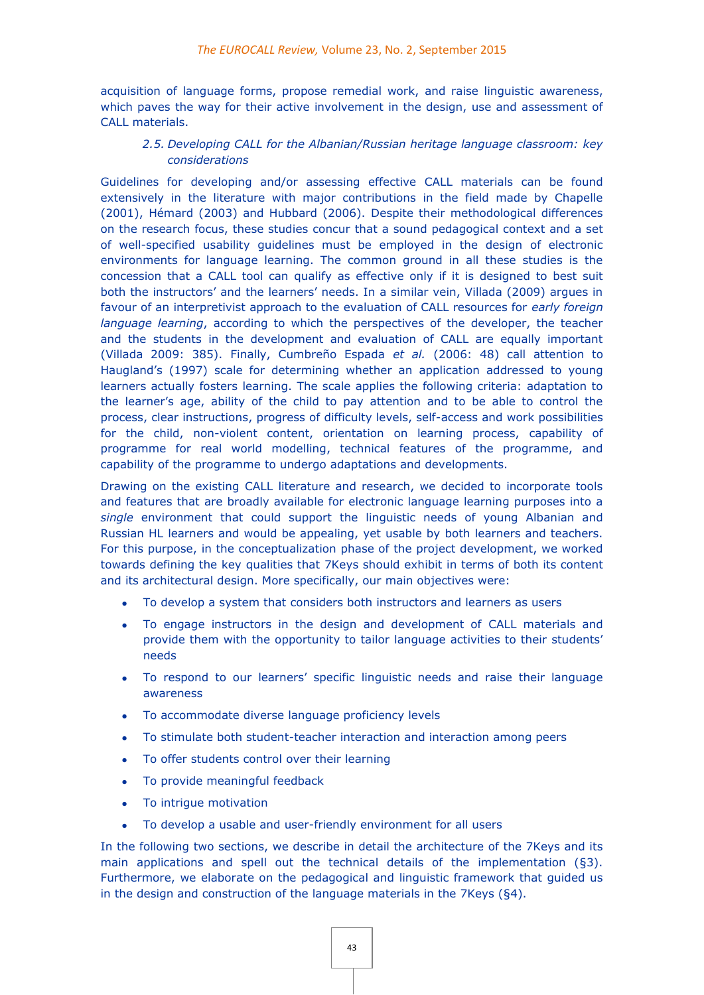acquisition of language forms, propose remedial work, and raise linguistic awareness, which paves the way for their active involvement in the design, use and assessment of CALL materials.

# *2.5. Developing CALL for the Albanian/Russian heritage language classroom: key considerations*

Guidelines for developing and/or assessing effective CALL materials can be found extensively in the literature with major contributions in the field made by Chapelle (2001), Hémard (2003) and Hubbard (2006). Despite their methodological differences on the research focus, these studies concur that a sound pedagogical context and a set of well-specified usability guidelines must be employed in the design of electronic environments for language learning. The common ground in all these studies is the concession that a CALL tool can qualify as effective only if it is designed to best suit both the instructors' and the learners' needs. In a similar vein, Villada (2009) argues in favour of an interpretivist approach to the evaluation of CALL resources for *early foreign language learning*, according to which the perspectives of the developer, the teacher and the students in the development and evaluation of CALL are equally important (Villada 2009: 385). Finally, Cumbreño Espada *et al.* (2006: 48) call attention to Haugland's (1997) scale for determining whether an application addressed to young learners actually fosters learning. The scale applies the following criteria: adaptation to the learner's age, ability of the child to pay attention and to be able to control the process, clear instructions, progress of difficulty levels, self-access and work possibilities for the child, non-violent content, orientation on learning process, capability of programme for real world modelling, technical features of the programme, and capability of the programme to undergo adaptations and developments.

Drawing on the existing CALL literature and research, we decided to incorporate tools and features that are broadly available for electronic language learning purposes into a *single* environment that could support the linguistic needs of young Albanian and Russian HL learners and would be appealing, yet usable by both learners and teachers. For this purpose, in the conceptualization phase of the project development, we worked towards defining the key qualities that 7Keys should exhibit in terms of both its content and its architectural design. More specifically, our main objectives were:

- To develop a system that considers both instructors and learners as users
- To engage instructors in the design and development of CALL materials and provide them with the opportunity to tailor language activities to their students' needs
- To respond to our learners' specific linguistic needs and raise their language awareness
- To accommodate diverse language proficiency levels
- To stimulate both student-teacher interaction and interaction among peers
- To offer students control over their learning
- To provide meaningful feedback
- To intrigue motivation
- To develop a usable and user-friendly environment for all users

In the following two sections, we describe in detail the architecture of the 7Keys and its main applications and spell out the technical details of the implementation (§3). Furthermore, we elaborate on the pedagogical and linguistic framework that guided us in the design and construction of the language materials in the 7Keys (§4).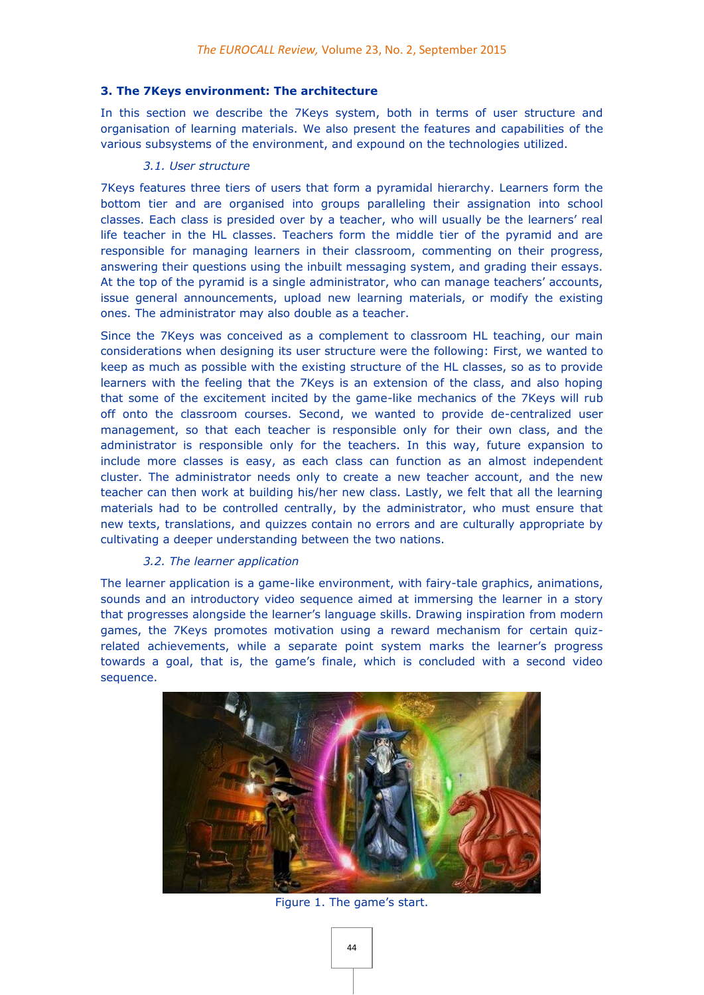#### **3. The 7Keys environment: The architecture**

In this section we describe the 7Keys system, both in terms of user structure and organisation of learning materials. We also present the features and capabilities of the various subsystems of the environment, and expound on the technologies utilized.

#### *3.1. User structure*

7Keys features three tiers of users that form a pyramidal hierarchy. Learners form the bottom tier and are organised into groups paralleling their assignation into school classes. Each class is presided over by a teacher, who will usually be the learners' real life teacher in the HL classes. Teachers form the middle tier of the pyramid and are responsible for managing learners in their classroom, commenting on their progress, answering their questions using the inbuilt messaging system, and grading their essays. At the top of the pyramid is a single administrator, who can manage teachers' accounts, issue general announcements, upload new learning materials, or modify the existing ones. The administrator may also double as a teacher.

Since the 7Keys was conceived as a complement to classroom HL teaching, our main considerations when designing its user structure were the following: First, we wanted to keep as much as possible with the existing structure of the HL classes, so as to provide learners with the feeling that the 7Keys is an extension of the class, and also hoping that some of the excitement incited by the game-like mechanics of the 7Keys will rub off onto the classroom courses. Second, we wanted to provide de-centralized user management, so that each teacher is responsible only for their own class, and the administrator is responsible only for the teachers. In this way, future expansion to include more classes is easy, as each class can function as an almost independent cluster. The administrator needs only to create a new teacher account, and the new teacher can then work at building his/her new class. Lastly, we felt that all the learning materials had to be controlled centrally, by the administrator, who must ensure that new texts, translations, and quizzes contain no errors and are culturally appropriate by cultivating a deeper understanding between the two nations.

#### *3.2. The learner application*

The learner application is a game-like environment, with fairy-tale graphics, animations, sounds and an introductory video sequence aimed at immersing the learner in a story that progresses alongside the learner's language skills. Drawing inspiration from modern games, the 7Keys promotes motivation using a reward mechanism for certain quizrelated achievements, while a separate point system marks the learner's progress towards a goal, that is, the game's finale, which is concluded with a second video sequence.



Figure 1. The game's start.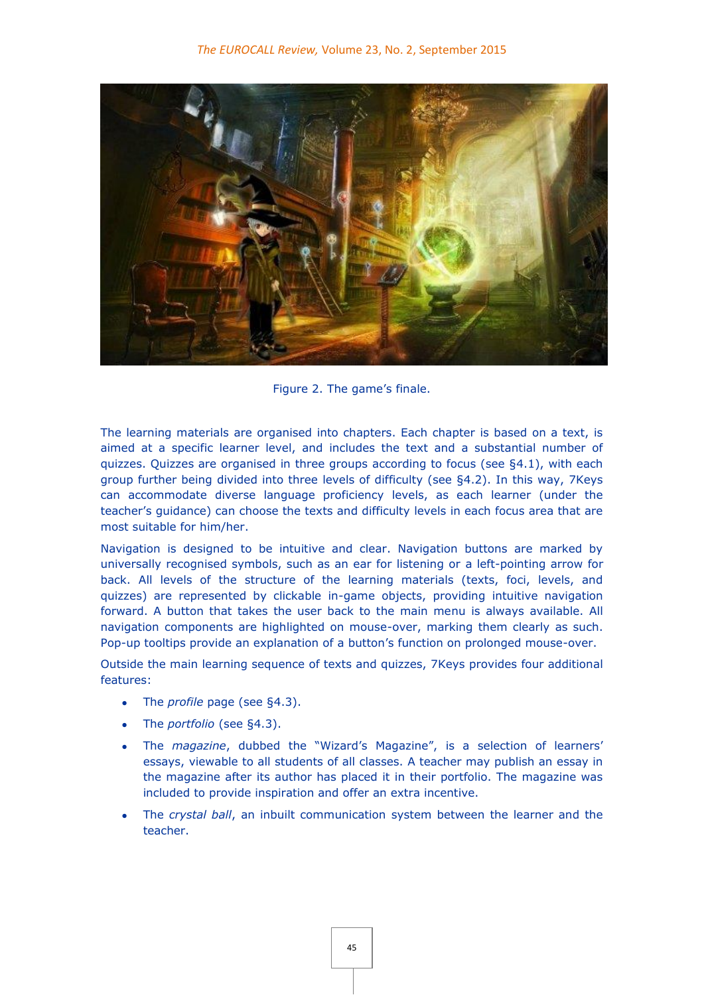

Figure 2. The game's finale.

The learning materials are organised into chapters. Each chapter is based on a text, is aimed at a specific learner level, and includes the text and a substantial number of quizzes. Quizzes are organised in three groups according to focus (see §4.1), with each group further being divided into three levels of difficulty (see §4.2). In this way, 7Keys can accommodate diverse language proficiency levels, as each learner (under the teacher's guidance) can choose the texts and difficulty levels in each focus area that are most suitable for him/her.

Navigation is designed to be intuitive and clear. Navigation buttons are marked by universally recognised symbols, such as an ear for listening or a left-pointing arrow for back. All levels of the structure of the learning materials (texts, foci, levels, and quizzes) are represented by clickable in-game objects, providing intuitive navigation forward. A button that takes the user back to the main menu is always available. All navigation components are highlighted on mouse-over, marking them clearly as such. Pop-up tooltips provide an explanation of a button's function on prolonged mouse-over.

Outside the main learning sequence of texts and quizzes, 7Keys provides four additional features:

- The *profile* page (see §4.3).
- The *portfolio* (see §4.3).
- The *magazine*, dubbed the "Wizard's Magazine", is a selection of learners' essays, viewable to all students of all classes. A teacher may publish an essay in the magazine after its author has placed it in their portfolio. The magazine was included to provide inspiration and offer an extra incentive.
- The *crystal ball*, an inbuilt communication system between the learner and the teacher.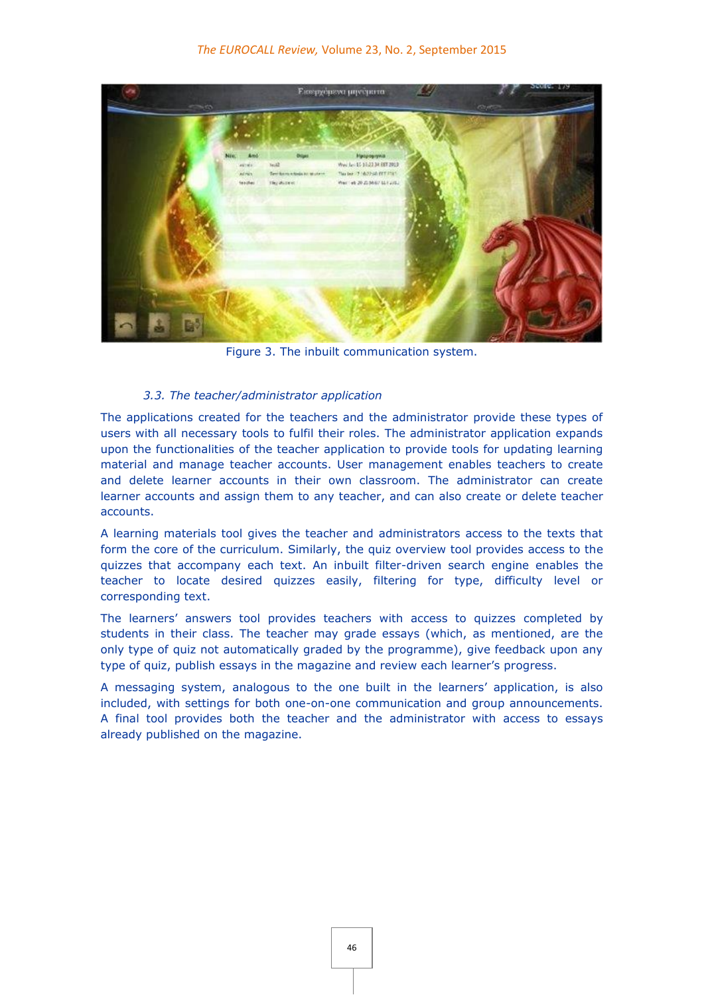

Figure 3. The inbuilt communication system.

# *3.3. The teacher/administrator application*

The applications created for the teachers and the administrator provide these types of users with all necessary tools to fulfil their roles. The administrator application expands upon the functionalities of the teacher application to provide tools for updating learning material and manage teacher accounts. User management enables teachers to create and delete learner accounts in their own classroom. The administrator can create learner accounts and assign them to any teacher, and can also create or delete teacher accounts.

A learning materials tool gives the teacher and administrators access to the texts that form the core of the curriculum. Similarly, the quiz overview tool provides access to the quizzes that accompany each text. An inbuilt filter-driven search engine enables the teacher to locate desired quizzes easily, filtering for type, difficulty level or corresponding text.

The learners' answers tool provides teachers with access to quizzes completed by students in their class. The teacher may grade essays (which, as mentioned, are the only type of quiz not automatically graded by the programme), give feedback upon any type of quiz, publish essays in the magazine and review each learner's progress.

A messaging system, analogous to the one built in the learners' application, is also included, with settings for both one-on-one communication and group announcements. A final tool provides both the teacher and the administrator with access to essays already published on the magazine.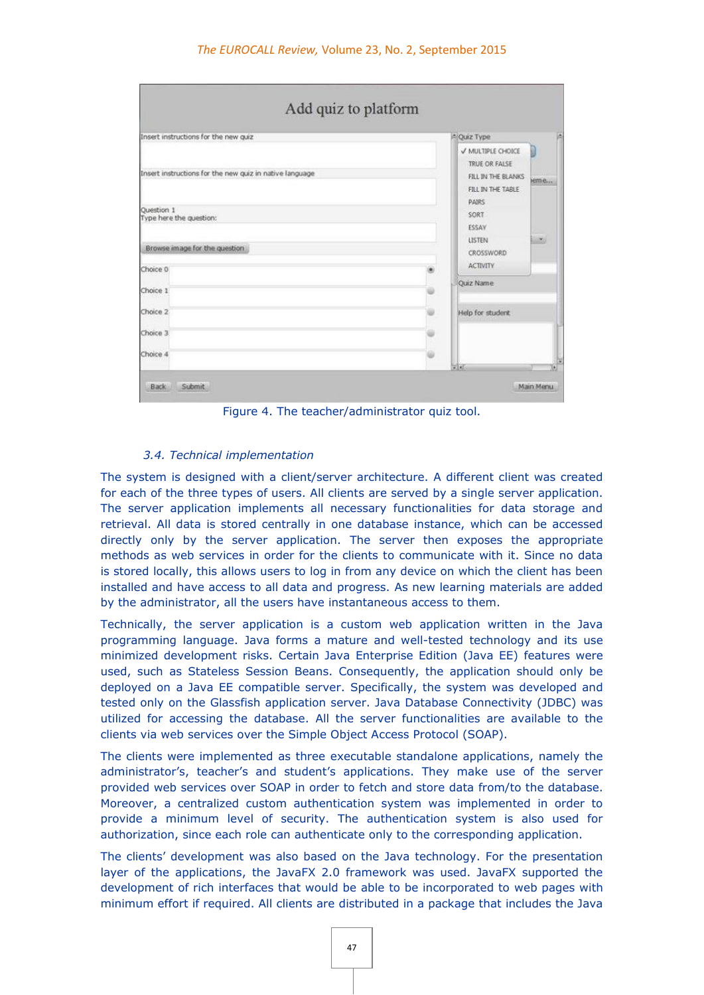| Insert instructions for the new quiz                    | A Quiz Type                                                                   |      |
|---------------------------------------------------------|-------------------------------------------------------------------------------|------|
| Insert instructions for the new quiz in native language | V MULTIPLE CHOICE<br>TRUE OR FALSE<br>FILL IN THE BLANKS<br>FILL IN THE TABLE | jeme |
| Question 1<br>Type here the question:                   | <b>PAIRS</b><br><b>SORT</b><br>ESSAY<br>LISTEN                                |      |
| Browse image for the question<br>Choice 0               | CROSSWORD<br><b>ACTIVITY</b>                                                  |      |
| Choice 1                                                | <b>Ouiz Name</b>                                                              |      |
| Choice 2                                                | Help for student                                                              |      |
| Choice 3                                                |                                                                               |      |
| Choice 4                                                |                                                                               |      |

Figure 4. The teacher/administrator quiz tool.

#### *3.4. Technical implementation*

The system is designed with a client/server architecture. A different client was created for each of the three types of users. All clients are served by a single server application. The server application implements all necessary functionalities for data storage and retrieval. All data is stored centrally in one database instance, which can be accessed directly only by the server application. The server then exposes the appropriate methods as web services in order for the clients to communicate with it. Since no data is stored locally, this allows users to log in from any device on which the client has been installed and have access to all data and progress. As new learning materials are added by the administrator, all the users have instantaneous access to them.

Technically, the server application is a custom web application written in the Java programming language. Java forms a mature and well-tested technology and its use minimized development risks. Certain Java Enterprise Edition (Java EE) features were used, such as Stateless Session Beans. Consequently, the application should only be deployed on a Java EE compatible server. Specifically, the system was developed and tested only on the Glassfish application server. Java Database Connectivity (JDBC) was utilized for accessing the database. All the server functionalities are available to the clients via web services over the Simple Object Access Protocol (SOAP).

The clients were implemented as three executable standalone applications, namely the administrator's, teacher's and student's applications. They make use of the server provided web services over SOAP in order to fetch and store data from/to the database. Moreover, a centralized custom authentication system was implemented in order to provide a minimum level of security. The authentication system is also used for authorization, since each role can authenticate only to the corresponding application.

The clients' development was also based on the Java technology. For the presentation layer of the applications, the JavaFX 2.0 framework was used. JavaFX supported the development of rich interfaces that would be able to be incorporated to web pages with minimum effort if required. All clients are distributed in a package that includes the Java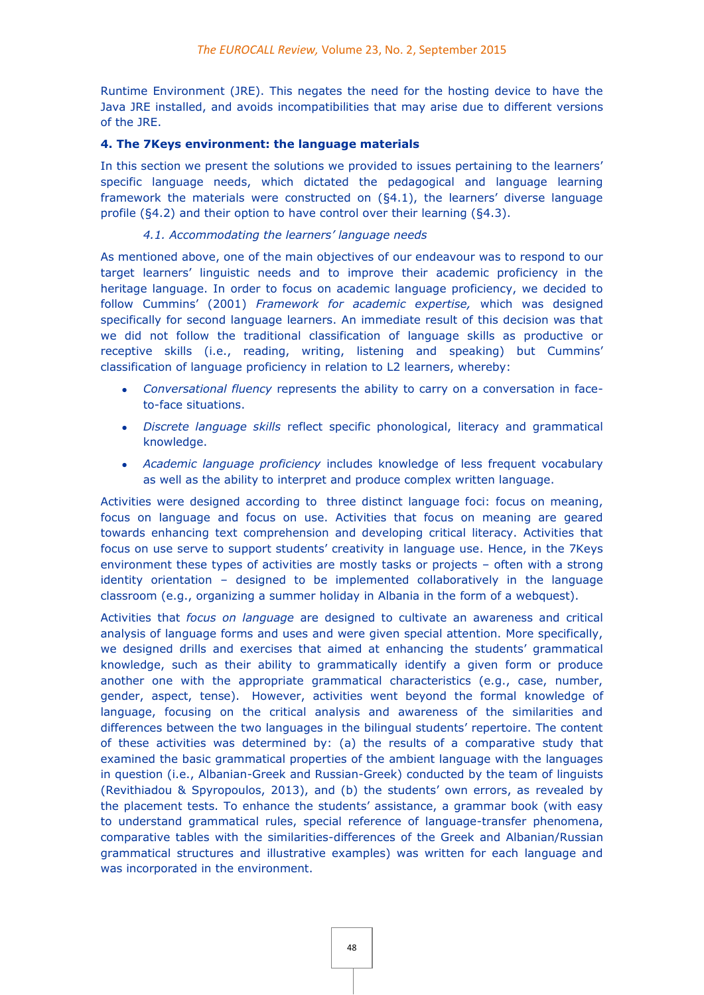Runtime Environment (JRE). This negates the need for the hosting device to have the Java JRE installed, and avoids incompatibilities that may arise due to different versions of the JRE.

# **4. The 7Keys environment: the language materials**

In this section we present the solutions we provided to issues pertaining to the learners' specific language needs, which dictated the pedagogical and language learning framework the materials were constructed on (§4.1), the learners' diverse language profile (§4.2) and their option to have control over their learning (§4.3).

# *4.1. Accommodating the learners' language needs*

As mentioned above, one of the main objectives of our endeavour was to respond to our target learners' linguistic needs and to improve their academic proficiency in the heritage language. In order to focus on academic language proficiency, we decided to follow Cummins' (2001) *Framework for academic expertise,* which was designed specifically for second language learners. An immediate result of this decision was that we did not follow the traditional classification of language skills as productive or receptive skills (i.e., reading, writing, listening and speaking) but Cummins' classification of language proficiency in relation to L2 learners, whereby:

- *Conversational fluency* represents the ability to carry on a conversation in faceto-face situations.
- *Discrete language skills* reflect specific phonological, literacy and grammatical knowledge.
- *Academic language proficiency* includes knowledge of less frequent vocabulary as well as the ability to interpret and produce complex written language.

Activities were designed according to three distinct language foci: focus on meaning, focus on language and focus on use. Activities that focus on meaning are geared towards enhancing text comprehension and developing critical literacy. Activities that focus on use serve to support students' creativity in language use. Hence, in the 7Keys environment these types of activities are mostly tasks or projects – often with a strong identity orientation – designed to be implemented collaboratively in the language classroom (e.g., organizing a summer holiday in Albania in the form of a webquest).

Activities that *focus on language* are designed to cultivate an awareness and critical analysis of language forms and uses and were given special attention. More specifically, we designed drills and exercises that aimed at enhancing the students' grammatical knowledge, such as their ability to grammatically identify a given form or produce another one with the appropriate grammatical characteristics (e.g., case, number, gender, aspect, tense). However, activities went beyond the formal knowledge of language, focusing on the critical analysis and awareness of the similarities and differences between the two languages in the bilingual students' repertoire. The content of these activities was determined by: (a) the results of a comparative study that examined the basic grammatical properties of the ambient language with the languages in question (i.e., Albanian-Greek and Russian-Greek) conducted by the team of linguists (Revithiadou & Spyropoulos, 2013), and (b) the students' own errors, as revealed by the placement tests. To enhance the students' assistance, a grammar book (with easy to understand grammatical rules, special reference of language-transfer phenomena, comparative tables with the similarities-differences of the Greek and Albanian/Russian grammatical structures and illustrative examples) was written for each language and was incorporated in the environment.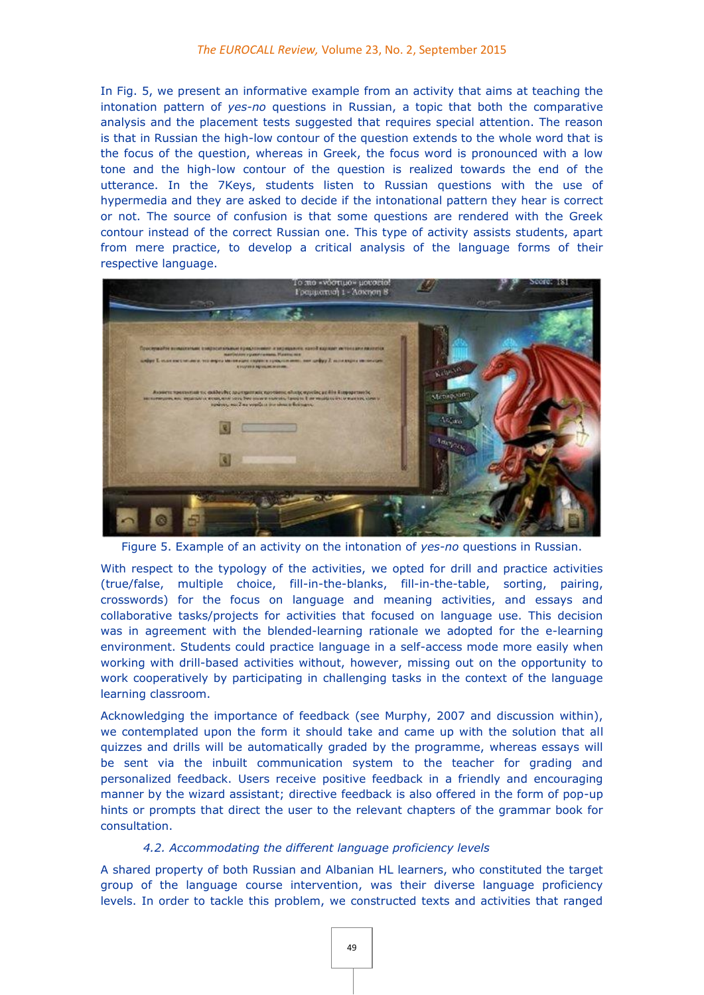In Fig. 5, we present an informative example from an activity that aims at teaching the intonation pattern of *yes-no* questions in Russian, a topic that both the comparative analysis and the placement tests suggested that requires special attention. The reason is that in Russian the high-low contour of the question extends to the whole word that is the focus of the question, whereas in Greek, the focus word is pronounced with a low tone and the high-low contour of the question is realized towards the end of the utterance. In the 7Keys, students listen to Russian questions with the use of hypermedia and they are asked to decide if the intonational pattern they hear is correct or not. The source of confusion is that some questions are rendered with the Greek contour instead of the correct Russian one. This type of activity assists students, apart from mere practice, to develop a critical analysis of the language forms of their respective language.



Figure 5. Example of an activity on the intonation of *yes-no* questions in Russian.

With respect to the typology of the activities, we opted for drill and practice activities (true/false, multiple choice, fill-in-the-blanks, fill-in-the-table, sorting, pairing, crosswords) for the focus on language and meaning activities, and essays and collaborative tasks/projects for activities that focused on language use. This decision was in agreement with the blended-learning rationale we adopted for the e-learning environment. Students could practice language in a self-access mode more easily when working with drill-based activities without, however, missing out on the opportunity to work cooperatively by participating in challenging tasks in the context of the language learning classroom.

Acknowledging the importance of feedback (see Μurphy, 2007 and discussion within), we contemplated upon the form it should take and came up with the solution that all quizzes and drills will be automatically graded by the programme, whereas essays will be sent via the inbuilt communication system to the teacher for grading and personalized feedback. Users receive positive feedback in a friendly and encouraging manner by the wizard assistant; directive feedback is also offered in the form of pop-up hints or prompts that direct the user to the relevant chapters of the grammar book for consultation.

#### *4.2. Accommodating the different language proficiency levels*

A shared property of both Russian and Albanian HL learners, who constituted the target group of the language course intervention, was their diverse language proficiency levels. In order to tackle this problem, we constructed texts and activities that ranged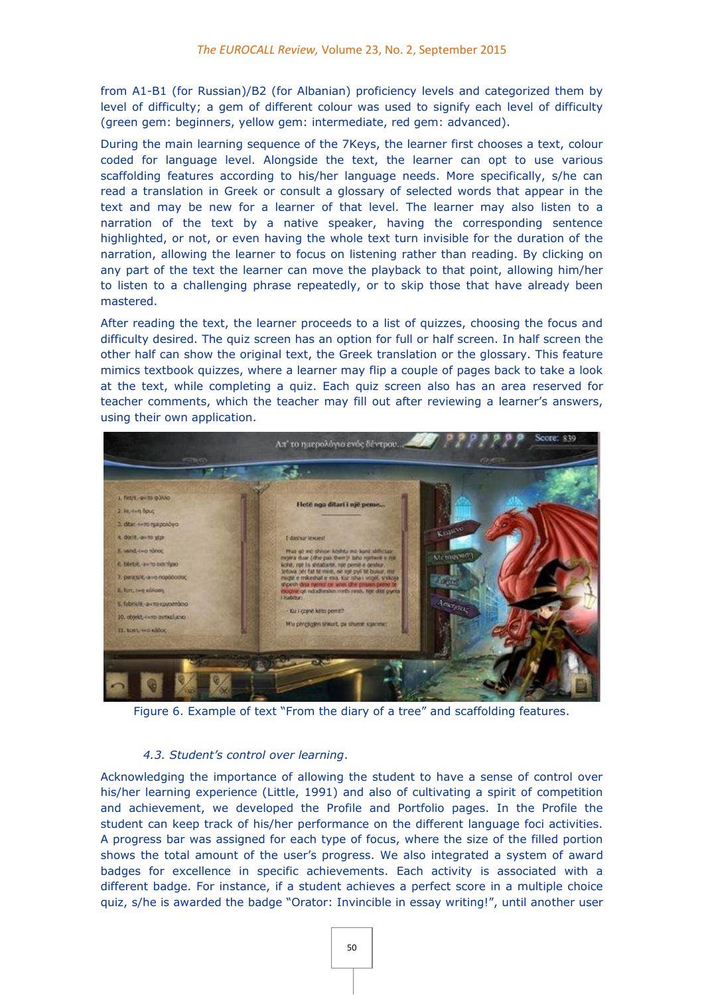from A1-B1 (for Russian)/B2 (for Albanian) proficiency levels and categorized them by level of difficulty; a gem of different colour was used to signify each level of difficulty (green gem: beginners, yellow gem: intermediate, red gem: advanced).

During the main learning sequence of the 7Keys, the learner first chooses a text, colour coded for language level. Alongside the text, the learner can opt to use various scaffolding features according to his/her language needs. More specifically, s/he can read a translation in Greek or consult a glossary of selected words that appear in the text and may be new for a learner of that level. The learner may also listen to a narration of the text by a native speaker, having the corresponding sentence highlighted, or not, or even having the whole text turn invisible for the duration of the narration, allowing the learner to focus on listening rather than reading. By clicking on any part of the text the learner can move the playback to that point, allowing him/her to listen to a challenging phrase repeatedly, or to skip those that have already been mastered.

After reading the text, the learner proceeds to a list of quizzes, choosing the focus and difficulty desired. The quiz screen has an option for full or half screen. In half screen the other half can show the original text, the Greek translation or the glossary. This feature mimics textbook quizzes, where a learner may flip a couple of pages back to take a look at the text, while completing a quiz. Each quiz screen also has an area reserved for teacher comments, which the teacher may fill out after reviewing a learner's answers, using their own application.



Figure 6. Example of text "From the diary of a tree" and scaffolding features.

#### *4.3. Student's control over learning*.

Acknowledging the importance of allowing the student to have a sense of control over his/her learning experience (Little, 1991) and also of cultivating a spirit of competition and achievement, we developed the Profile and Portfolio pages. In the Profile the student can keep track of his/her performance on the different language foci activities. A progress bar was assigned for each type of focus, where the size of the filled portion shows the total amount of the user's progress. We also integrated a system of award badges for excellence in specific achievements. Each activity is associated with a different badge. For instance, if a student achieves a perfect score in a multiple choice quiz, s/he is awarded the badge "Orator: Invincible in essay writing!", until another user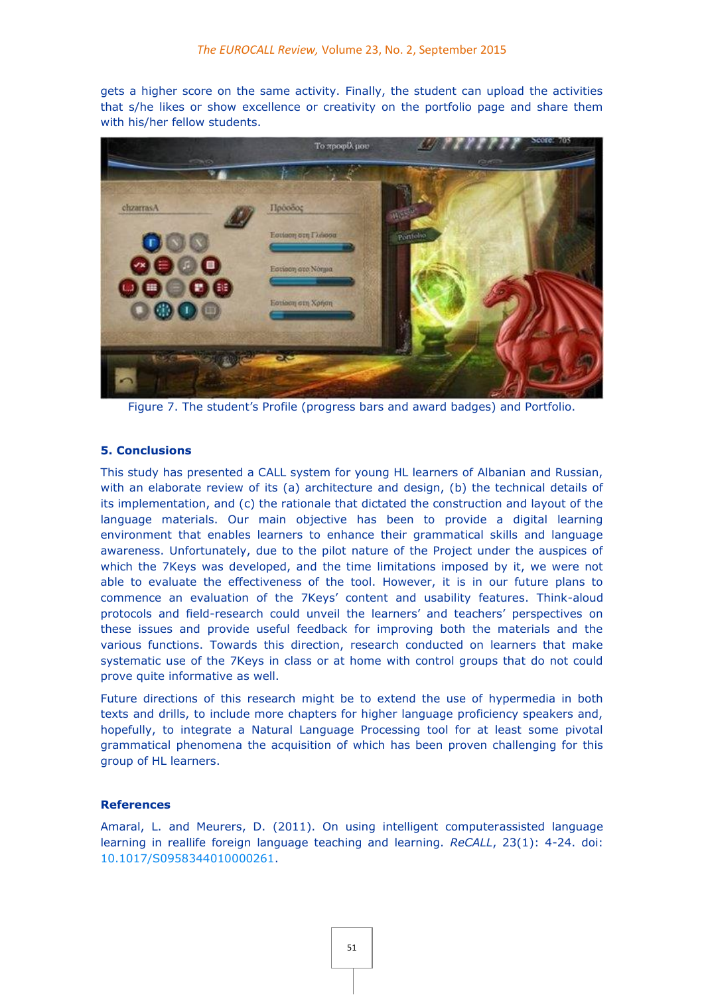gets a higher score on the same activity. Finally, the student can upload the activities that s/he likes or show excellence or creativity on the portfolio page and share them with his/her fellow students.



Figure 7. The student's Profile (progress bars and award badges) and Portfolio.

#### **5. Conclusions**

This study has presented a CALL system for young HL learners of Albanian and Russian, with an elaborate review of its (a) architecture and design, (b) the technical details of its implementation, and (c) the rationale that dictated the construction and layout of the language materials. Our main objective has been to provide a digital learning environment that enables learners to enhance their grammatical skills and language awareness. Unfortunately, due to the pilot nature of the Project under the auspices of which the 7Keys was developed, and the time limitations imposed by it, we were not able to evaluate the effectiveness of the tool. However, it is in our future plans to commence an evaluation of the 7Keys' content and usability features. Think-aloud protocols and field-research could unveil the learners' and teachers' perspectives on these issues and provide useful feedback for improving both the materials and the various functions. Towards this direction, research conducted on learners that make systematic use of the 7Keys in class or at home with control groups that do not could prove quite informative as well.

Future directions of this research might be to extend the use of hypermedia in both texts and drills, to include more chapters for higher language proficiency speakers and, hopefully, to integrate a Natural Language Processing tool for at least some pivotal grammatical phenomena the acquisition of which has been proven challenging for this group of HL learners.

#### **References**

Amaral, L. and Meurers, D. (2011). On using intelligent computerassisted language learning in reallife foreign language teaching and learning. *ReCALL*, 23(1): 4-24. doi: [10.1017/S0958344010000261.](http://dx.doi.org/10.1017/S0958344010000261)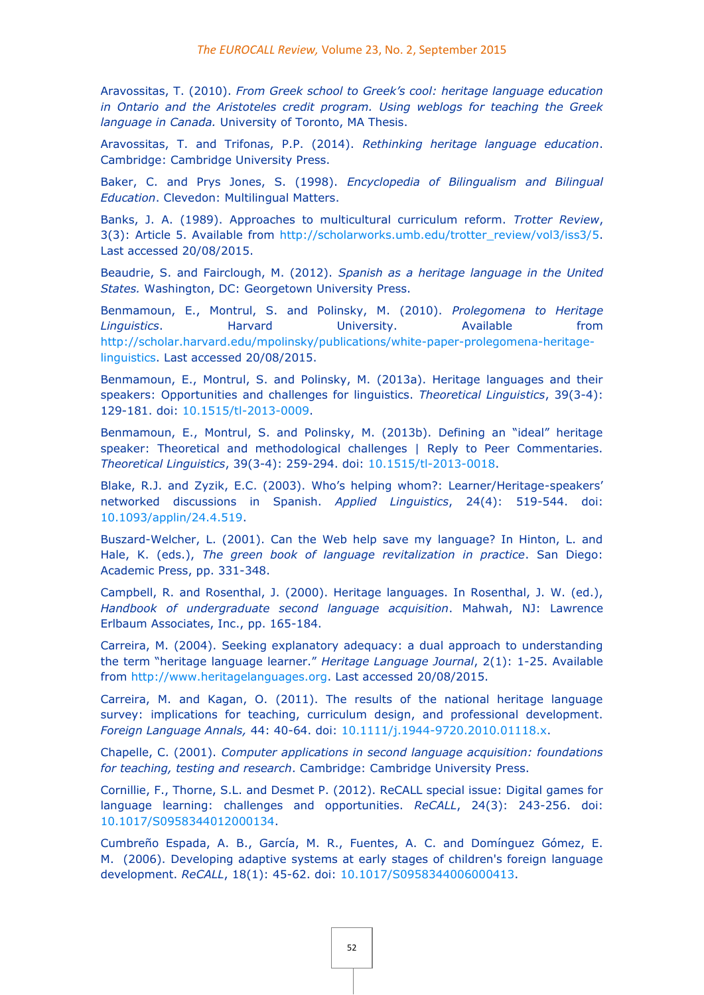Aravossitas, T. (2010). *From Greek school to Greek's cool: heritage language education in Ontario and the Aristoteles credit program. Using weblogs for teaching the Greek language in Canada.* University of Toronto, MA Thesis.

Aravossitas, T. and Trifonas, P.P. (2014). *Rethinking heritage language education*. Cambridge: Cambridge University Press.

Baker, C. and Prys Jones, S. (1998). *Encyclopedia of Bilingualism and Bilingual Education*. Clevedon: Multilingual Matters.

Banks, J. A. (1989). Approaches to multicultural curriculum reform. *Trotter Review*, 3(3): Article 5. Available from [http://scholarworks.umb.edu/trotter\\_review/vol3/iss3/5.](http://scholarworks.umb.edu/trotter_review/vol3/iss3/5) Last accessed 20/08/2015.

Beaudrie, S. and Fairclough, M. (2012). *Spanish as a heritage language in the United States.* Washington, DC: Georgetown University Press.

Benmamoun, E., Montrul, S. and Polinsky, M. (2010). *Prolegomena to Heritage Linguistics*. Harvard University. Available from [http://scholar.harvard.edu/mpolinsky/publications/white-paper-prolegomena-heritage](http://scholar.harvard.edu/mpolinsky/publications/white-paper-prolegomena-heritage-%20linguistics)[linguistics.](http://scholar.harvard.edu/mpolinsky/publications/white-paper-prolegomena-heritage-%20linguistics) Last accessed 20/08/2015.

Benmamoun, E., Montrul, S. and Polinsky, M. (2013a). Heritage languages and their speakers: Opportunities and challenges for linguistics. *Theoretical Linguistics*, 39(3-4): 129-181. doi: [10.1515/tl-2013-0009.](http://dx.doi.org/10.1515/tl-2013-0009)

Benmamoun, E., Montrul, S. and Polinsky, M. (2013b). Defining an "ideal" heritage speaker: Theoretical and methodological challenges | Reply to Peer Commentaries. *Theoretical Linguistics*, 39(3-4): 259-294. doi: [10.1515/tl-2013-0018.](http://dx.doi.org/10.1515/tl-2013-0018)

Blake, R.J. and Zyzik, E.C. (2003). Who's helping whom?: Learner/Heritage-speakers' networked discussions in Spanish. *Applied Linguistics*, 24(4): 519-544. doi: [10.1093/applin/24.4.519.](http://dx.doi.org/10.1093/applin/24.4.519)

Buszard-Welcher, L. (2001). Can the Web help save my language? In Hinton, L. and Hale, K. (eds.), *The green book of language revitalization in practice*. San Diego: Academic Press, pp. 331-348.

Campbell, R. and Rosenthal, J. (2000). Heritage languages. In Rosenthal, J. W. (ed.), *Handbook of undergraduate second language acquisition*. Mahwah, NJ: Lawrence Erlbaum Associates, Inc., pp. 165-184.

Carreira, M. (2004). Seeking explanatory adequacy: a dual approach to understanding the term "heritage language learner." *Heritage Language Journal*, 2(1): 1-25. Available from [http://www.heritagelanguages.org.](http://www.heritagelanguages.org/) Last accessed 20/08/2015.

Carreira, M. and Kagan, O. (2011). The results of the national heritage language survey: implications for teaching, curriculum design, and professional development. *Foreign Language Annals,* 44: 40-64. doi: [10.1111/j.1944-9720.2010.01118.x.](http://dx.doi.org/10.1111/j.1944-9720.2010.01118.x)

Chapelle, C. (2001). *Computer applications in second language acquisition: foundations for teaching, testing and research*. Cambridge: Cambridge University Press.

Cornillie, F., Thorne, S.L. and Desmet P. (2012). ReCALL special issue: Digital games for language learning: challenges and opportunities. *ReCALL*, 24(3): 243-256. doi: [10.1017/S0958344012000134.](http://dx.doi.org/10.1017/S0958344012000134)

Cumbreño Espada, A. B., García, M. R., Fuentes, A. C. and Domínguez Gómez, E. M. (2006). Developing adaptive systems at early stages of children's foreign language development. *ReCALL*, 18(1): 45-62. doi: [10.1017/S0958344006000413.](http://dx.doi.org/10.1017/S0958344006000413)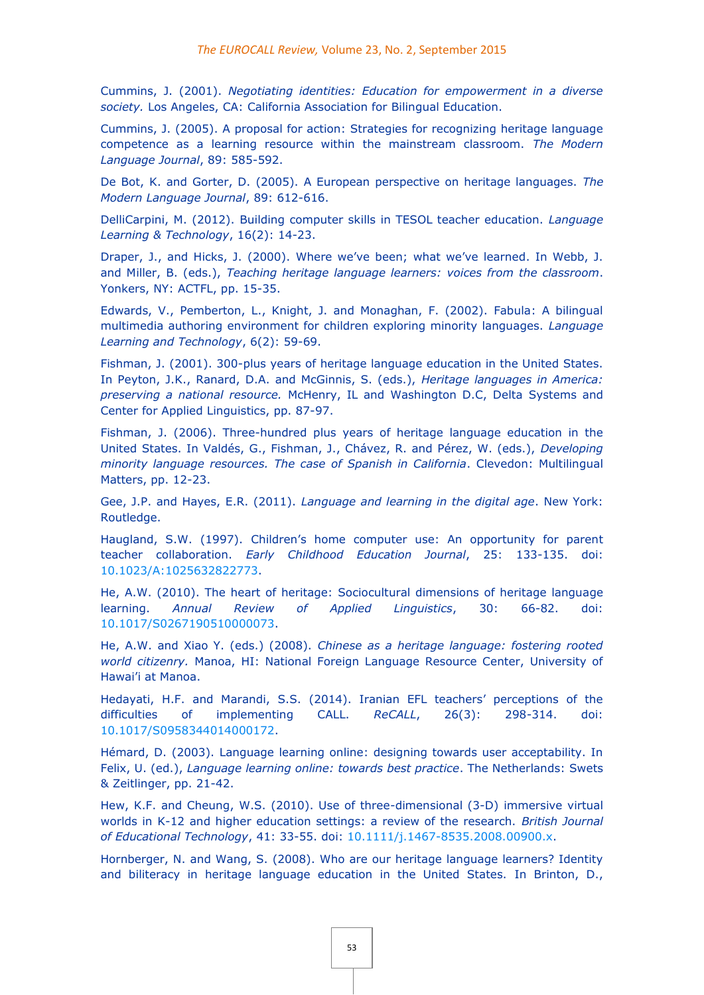Cummins, J. (2001). *Negotiating identities: Education for empowerment in a diverse society.* Los Angeles, CA: California Association for Bilingual Education.

Cummins, J. (2005). A proposal for action: Strategies for recognizing heritage language competence as a learning resource within the mainstream classroom. *The Modern Language Journal*, 89: 585-592.

De Bot, K. and Gorter, D. (2005). A European perspective on heritage languages. *The Modern Language Journal*, 89: 612-616.

DelliCarpini, M. (2012). Building computer skills in TESOL teacher education. *Language Learning & Technology*, 16(2): 14-23.

Draper, J., and Hicks, J. (2000). Where we've been; what we've learned. In Webb, J. and Miller, B. (eds.), *Teaching heritage language learners: voices from the classroom*. Yonkers, NY: ACTFL, pp. 15-35.

Edwards, V., Pemberton, L., Knight, J. and Monaghan, F. (2002). Fabula: A bilingual multimedia authoring environment for children exploring minority languages. *Language Learning and Technology*, 6(2): 59-69.

Fishman, J. (2001). 300-plus years of heritage language education in the United States. In Peyton, J.K., Ranard, D.A. and McGinnis, S. (eds.), *Heritage languages in America: preserving a national resource.* McHenry, IL and Washington D.C, Delta Systems and Center for Applied Linguistics, pp. 87-97.

Fishman, J. (2006). Three-hundred plus years of heritage language education in the United States. In Valdés, G., Fishman, J., Chávez, R. and Pérez, W. (eds.), *Developing minority language resources. The case of Spanish in California*. Clevedon: Multilingual Matters, pp. 12-23.

Gee, J.P. and Hayes, E.R. (2011). *Language and learning in the digital age*. New York: Routledge.

Haugland, S.W. (1997). Children's home computer use: An opportunity for parent teacher collaboration. *Early Childhood Education Journal*, 25: 133-135. doi: [10.1023/A:1025632822773.](http://dx.doi.org/10.1023/A:1025632822773)

He, A.W. (2010). The heart of heritage: Sociocultural dimensions of heritage language learning. *Annual Review of Applied Linguistics*, 30: 66-82. doi: [10.1017/S0267190510000073.](http://dx.doi.org/10.1017/S0267190510000073)

He, A.W. and Xiao Y. (eds.) (2008). *Chinese as a heritage language: fostering rooted world citizenry.* Manoa, HI: National Foreign Language Resource Center, University of Hawai'i at Manoa.

Hedayati, H.F. and Marandi, S.S. (2014). Iranian EFL teachers' perceptions of the difficulties of implementing CALL. *ReCALL*, 26(3): 298-314. doi: [10.1017/S0958344014000172.](http://dx.doi.org/10.1017/S0958344014000172)

Hémard, D. (2003). Language learning online: designing towards user acceptability. In Felix, U. (ed.), *Language learning online: towards best practice*. The Netherlands: Swets & Zeitlinger, pp. 21-42.

Hew, K.F. and Cheung, W.S. (2010). Use of three-dimensional (3-D) immersive virtual worlds in K-12 and higher education settings: a review of the research. *British Journal of Educational Technology*, 41: 33-55. doi: [10.1111/j.1467-8535.2008.00900.x.](http://dx.doi.org/10.1111/j.1467-8535.2008.00900.x)

Hornberger, N. and Wang, S. (2008). Who are our heritage language learners? Identity and biliteracy in heritage language education in the United States. In Brinton, D.,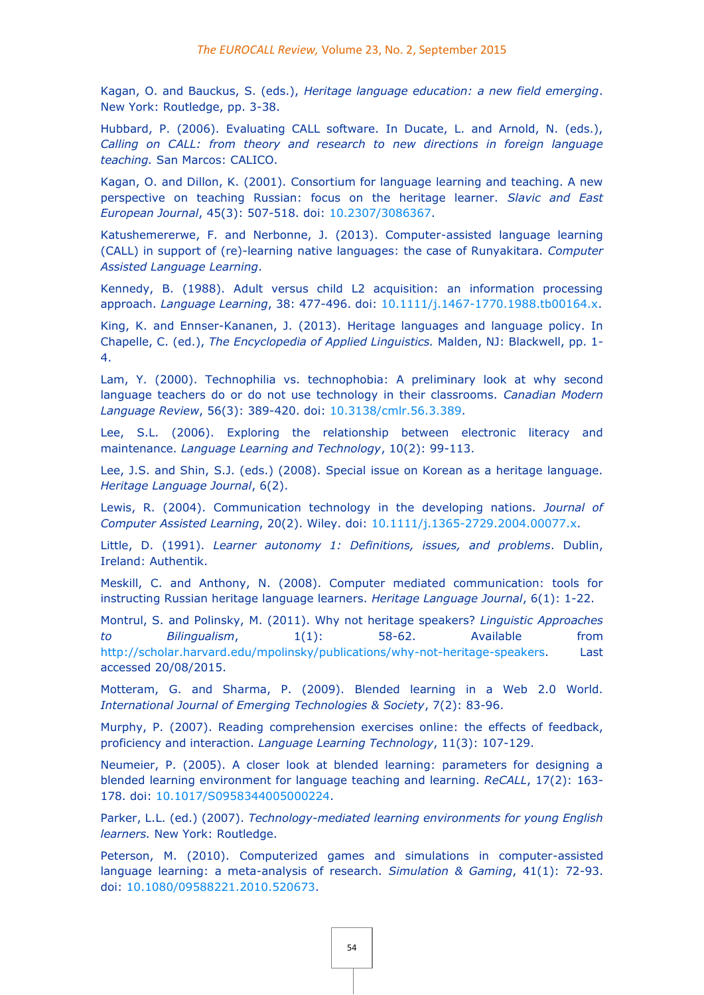Kagan, O. and Bauckus, S. (eds.), *Heritage language education: a new field emerging*. New York: Routledge, pp. 3-38.

Hubbard, P. (2006). Evaluating CALL software. In Ducate, L. and Arnold, N. (eds.), *Calling on CALL: from theory and research to new directions in foreign language teaching.* San Marcos: CALICO.

Kagan, O. and Dillon, K. (2001). Consortium for language learning and teaching. A new perspective on teaching Russian: focus on the heritage learner. *Slavic and East European Journal*, 45(3): 507-518. doi: [10.2307/3086367.](http://dx.doi.org/10.2307/3086367)

Katushemererwe, F. and Nerbonne, J. (2013). Computer-assisted language learning (CALL) in support of (re)-learning native languages: the case of Runyakitara. *Computer Assisted Language Learning*.

Kennedy, B. (1988). Adult versus child L2 acquisition: an information processing approach. *Language Learning*, 38: 477-496. doi: [10.1111/j.1467-1770.1988.tb00164.x.](http://dx.doi.org/10.1111/j.1467-1770.1988.tb00164.x)

King, K. and Ennser-Kananen, J. (2013). Heritage languages and language policy. In Chapelle, C. (ed.), *The Encyclopedia of Applied Linguistics.* Malden, NJ: Blackwell, pp. 1- 4.

Lam, Y. (2000). Technophilia vs. technophobia: A preliminary look at why second language teachers do or do not use technology in their classrooms. *Canadian Modern Language Review*, 56(3): 389-420. doi: [10.3138/cmlr.56.3.389.](http://dx.doi.org/10.3138/cmlr.56.3.389)

Lee, S.L. (2006). Exploring the relationship between electronic literacy and maintenance. *Language Learning and Technology*, 10(2): 99-113.

Lee, J.S. and Shin, S.J. (eds.) (2008). Special issue on Korean as a heritage language. *Heritage Language Journal*, 6(2).

Lewis, R. (2004). Communication technology in the developing nations. *Journal of Computer Assisted Learning*, 20(2). Wiley. doi: [10.1111/j.1365-2729.2004.00077.x.](http://dx.doi.org/10.1111/j.1365-2729.2004.00077.x)

Little, D. (1991). *Learner autonomy 1: Definitions, issues, and problems*. Dublin, Ireland: Authentik.

Meskill, C. and Anthony, N. (2008). Computer mediated communication: tools for instructing Russian heritage language learners. *Heritage Language Journal*, 6(1): 1-22.

Montrul, S. and Polinsky, M. (2011). Why not heritage speakers? *Linguistic Approaches to Bilingualism*, 1(1): 58-62. Available from [http://scholar.harvard.edu/mpolinsky/publications/why-not-heritage-speakers.](http://scholar.harvard.edu/mpolinsky/publications/why-not-heritage-speakers) Last accessed 20/08/2015.

Motteram, G. and Sharma, P. (2009). Blended learning in a Web 2.0 World. *International Journal of Emerging Technologies & Society*, 7(2): 83-96.

Murphy, P. (2007). Reading comprehension exercises online: the effects of feedback, proficiency and interaction. *Language Learning Technology*, 11(3): 107-129.

Neumeier, P. (2005). A closer look at blended learning: parameters for designing a blended learning environment for language teaching and learning. *ReCALL*, 17(2): 163- 178. doi: [10.1017/S0958344005000224.](http://dx.doi.org/10.1017/S0958344005000224)

Parker, L.L. (ed.) (2007). *Technology-mediated learning environments for young English learners.* New York: Routledge.

Peterson, M. (2010). Computerized games and simulations in computer-assisted language learning: a meta-analysis of research. *Simulation & Gaming*, 41(1): 72-93. doi: [10.1080/09588221.2010.520673.](http://dx.doi.org/10.1080/09588221.2010.520673)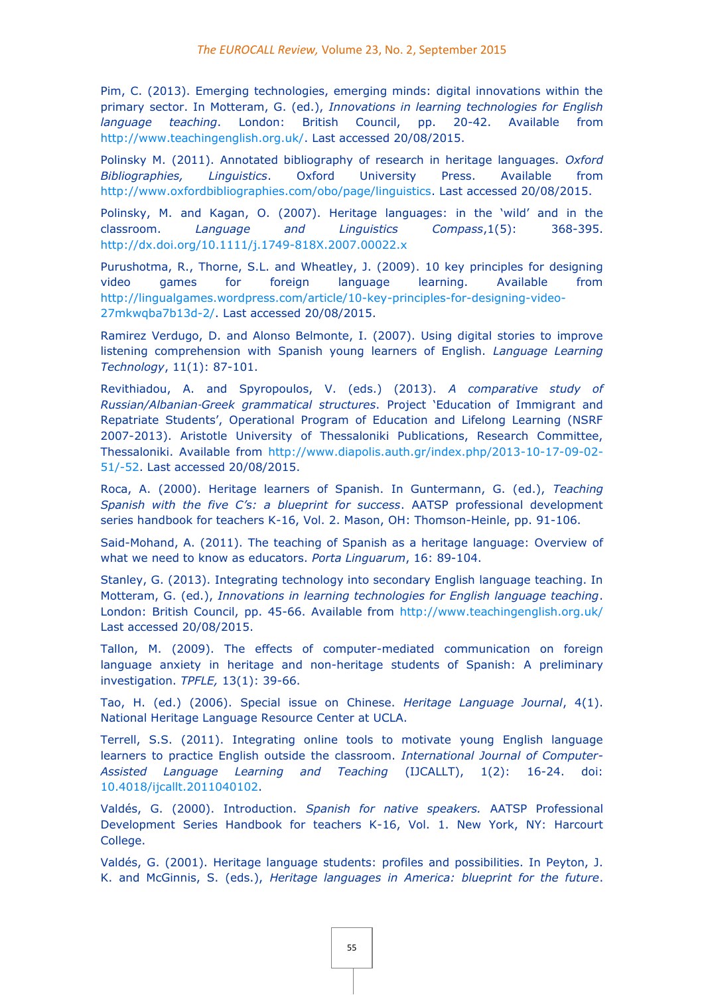Pim, C. (2013). Emerging technologies, emerging minds: digital innovations within the primary sector. In Motteram, G. (ed.), *Innovations in learning technologies for English language teaching*. London: British Council, pp. 20-42. Available from [http://www.teachingenglish.org.uk/.](http://www.teachingenglish.org.uk/) Last accessed 20/08/2015.

Polinsky M. (2011). Annotated bibliography of research in heritage languages. *Oxford Bibliographies, Linguistics*. Oxford University Press. Available from [http://www.oxfordbibliographies.com/obo/page/linguistics.](http://www.oxfordbibliographies.com/obo/page/linguistics) Last accessed 20/08/2015.

Polinsky, M. and Kagan, O. (2007). Heritage languages: in the 'wild' and in the classroom. *Language and Linguistics Compass*,1(5): 368-395. <http://dx.doi.org/10.1111/j.1749-818X.2007.00022.x>

Purushotma, R., Thorne, S.L. and Wheatley, J. (2009). 10 key principles for designing video games for foreign language learning. Available from [http://lingualgames.wordpress.com/article/10-key-principles-for-designing-video-](http://lingualgames.wordpress.com/article/10-key-principles-for-designing-video-27mkwqba7b13d-2/)[27mkwqba7b13d-2/.](http://lingualgames.wordpress.com/article/10-key-principles-for-designing-video-27mkwqba7b13d-2/) Last accessed 20/08/2015.

Ramirez Verdugo, D. and Alonso Belmonte, I. (2007). Using digital stories to improve listening comprehension with Spanish young learners of English. *Language Learning Technology*, 11(1): 87-101.

Revithiadou, A. and Spyropoulos, V. (eds.) (2013). *A comparative study of Russian/Albanian*‐*Greek grammatical structures*. Project 'Education of Immigrant and Repatriate Students', Operational Program of Education and Lifelong Learning (NSRF 2007-2013). Aristotle University of Thessaloniki Publications, Research Committee, Thessaloniki. Available from [http://www.diapolis.auth.gr/index.php/2013-10-17-09-02-](http://www.diapolis.auth.gr/index.php/2013-10-17-09-02-51/-52) [51/-52.](http://www.diapolis.auth.gr/index.php/2013-10-17-09-02-51/-52) Last accessed 20/08/2015.

Roca, A. (2000). Heritage learners of Spanish. In Guntermann, G. (ed.), *Teaching Spanish with the five C's: a blueprint for success*. AATSP professional development series handbook for teachers K-16, Vol. 2. Mason, OH: Thomson-Heinle, pp. 91-106.

Said-Mohand, A. (2011). The teaching of Spanish as a heritage language: Overview of what we need to know as educators. *Porta Linguarum*, 16: 89-104.

Stanley, G. (2013). Integrating technology into secondary English language teaching. In Motteram, G. (ed.), *Innovations in learning technologies for English language teaching*. London: British Council, pp. 45-66. Available from<http://www.teachingenglish.org.uk/> Last accessed 20/08/2015.

Tallon, M. (2009). The effects of computer-mediated communication on foreign language anxiety in heritage and non-heritage students of Spanish: A preliminary investigation. *TPFLE,* 13(1): 39-66.

Tao, H. (ed.) (2006). Special issue on Chinese. *Heritage Language Journal*, 4(1). National Heritage Language Resource Center at UCLA.

Terrell, S.S. (2011). Integrating online tools to motivate young English language learners to practice English outside the classroom. *International Journal of Computer-Assisted Language Learning and Teaching* (IJCALLT), 1(2): 16-24. doi: [10.4018/ijcallt.2011040102.](http://dx.doi.org/10.4018/ijcallt.2011040102)

Valdés, G. (2000). Introduction. *Spanish for native speakers.* AATSP Professional Development Series Handbook for teachers K-16, Vol. 1. New York, NY: Harcourt College.

Valdés, G. (2001). Heritage language students: profiles and possibilities. In Peyton, J. K. and McGinnis, S. (eds.), *Heritage languages in America: blueprint for the future*.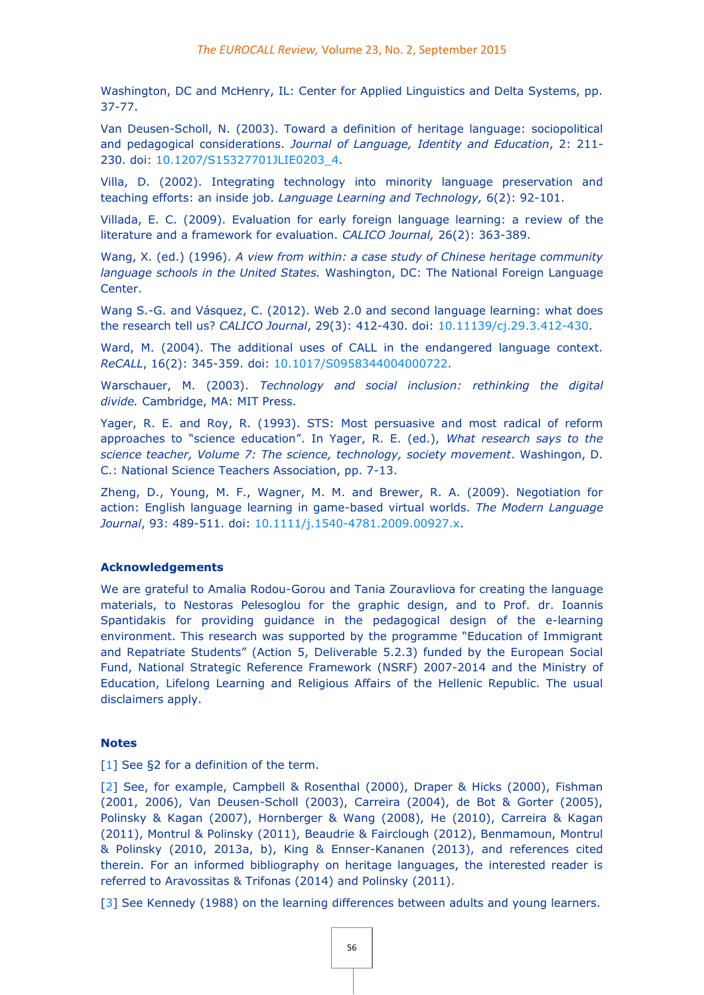Washington, DC and McHenry, IL: Center for Applied Linguistics and Delta Systems, pp. 37-77.

Van Deusen-Scholl, N. (2003). Toward a definition of heritage language: sociopolitical and pedagogical considerations. *Journal of Language, Identity and Education*, 2: 211- 230. doi: [10.1207/S15327701JLIE0203\\_4.](http://eurocall.webs.upv.es/10.1207/S15327701JLIE0203_4)

Villa, D. (2002). Integrating technology into minority language preservation and teaching efforts: an inside job. *Language Learning and Technology,* 6(2): 92-101.

Villada, E. C. (2009). Evaluation for early foreign language learning: a review of the literature and a framework for evaluation. *CALICO Journal,* 26(2): 363-389.

Wang, X. (ed.) (1996). *A view from within: a case study of Chinese heritage community language schools in the United States.* Washington, DC: The National Foreign Language Center.

Wang S.-G. and Vásquez, C. (2012). Web 2.0 and second language learning: what does the research tell us? *CALICO Journal*, 29(3): 412-430. doi: [10.11139/cj.29.3.412-430.](http://dx.doi.org/10.11139/cj.29.3.412-430)

Ward, M. (2004). The additional uses of CALL in the endangered language context. *ReCALL*, 16(2): 345-359. doi: [10.1017/S0958344004000722.](http://dx.doi.org/10.1017/S0958344004000722)

Warschauer, M. (2003). *Technology and social inclusion: rethinking the digital divide.* Cambridge, MA: MIT Press.

Yager, R. E. and Roy, R. (1993). STS: Most persuasive and most radical of reform approaches to "science education". In Yager, R. E. (ed.), *What research says to the science teacher, Volume 7: The science, technology, society movement*. Washingon, D. C.: National Science Teachers Association, pp. 7-13.

Zheng, D., Young, M. F., Wagner, M. M. and Brewer, R. A. (2009). Negotiation for action: English language learning in game-based virtual worlds. *The Modern Language Journal*, 93: 489-511. doi: [10.1111/j.1540-4781.2009.00927.x.](http://dx.doi.org/10.1111/j.1540-4781.2009.00927.x)

#### **Acknowledgements**

We are grateful to Amalia Rodou-Gorou and Tania Zouravliova for creating the language materials, to Nestoras Pelesoglou for the graphic design, and to Prof. dr. Ioannis Spantidakis for providing guidance in the pedagogical design of the e-learning environment. This research was supported by the programme "Education of Immigrant and Repatriate Students" (Action 5, Deliverable 5.2.3) funded by the European Social Fund, National Strategic Reference Framework (NSRF) 2007-2014 and the Ministry of Education, Lifelong Learning and Religious Affairs of the Hellenic Republic. The usual disclaimers apply.

#### **Notes**

[\[1\]](http://eurocall.webs.upv.es/index.php?m=menu_00&n=news_23_2#_ednref1) See §2 for a definition of the term.

[\[2\]](http://eurocall.webs.upv.es/index.php?m=menu_00&n=news_23_2#_ednref2) See, for example, Campbell & Rosenthal (2000), Draper & Hicks (2000), Fishman (2001, 2006), Van Deusen-Scholl (2003), Carreira (2004), de Bot & Gorter (2005), Polinsky & Kagan (2007), Hornberger & Wang (2008), He (2010), Carreira & Kagan (2011), Montrul & Polinsky (2011), Beaudrie & Fairclough (2012), Benmamoun, Montrul & Polinsky (2010, 2013a, b), King & Ennser-Kananen (2013), and references cited therein. For an informed bibliography on heritage languages, the interested reader is referred to Aravossitas & Trifonas (2014) and Polinsky (2011).

[\[3\]](http://eurocall.webs.upv.es/index.php?m=menu_00&n=news_23_2#_ednref3) See Kennedy (1988) on the learning differences between adults and young learners.